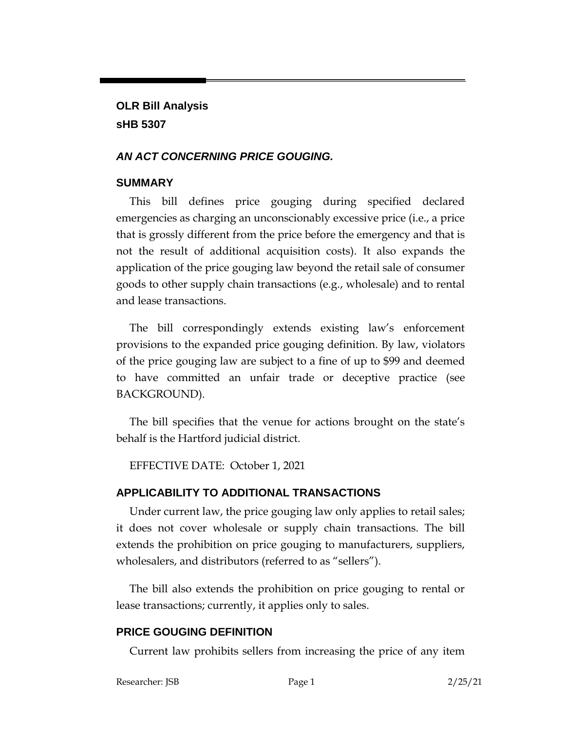**OLR Bill Analysis sHB 5307**

#### *AN ACT CONCERNING PRICE GOUGING.*

#### **SUMMARY**

This bill defines price gouging during specified declared emergencies as charging an unconscionably excessive price (i.e., a price that is grossly different from the price before the emergency and that is not the result of additional acquisition costs). It also expands the application of the price gouging law beyond the retail sale of consumer goods to other supply chain transactions (e.g., wholesale) and to rental and lease transactions.

The bill correspondingly extends existing law's enforcement provisions to the expanded price gouging definition. By law, violators of the price gouging law are subject to a fine of up to \$99 and deemed to have committed an unfair trade or deceptive practice (see BACKGROUND).

The bill specifies that the venue for actions brought on the state's behalf is the Hartford judicial district.

EFFECTIVE DATE: October 1, 2021

### **APPLICABILITY TO ADDITIONAL TRANSACTIONS**

Under current law, the price gouging law only applies to retail sales; it does not cover wholesale or supply chain transactions. The bill extends the prohibition on price gouging to manufacturers, suppliers, wholesalers, and distributors (referred to as "sellers").

The bill also extends the prohibition on price gouging to rental or lease transactions; currently, it applies only to sales.

# **PRICE GOUGING DEFINITION**

Current law prohibits sellers from increasing the price of any item

```
Researcher: JSB Page 1 2/25/21
```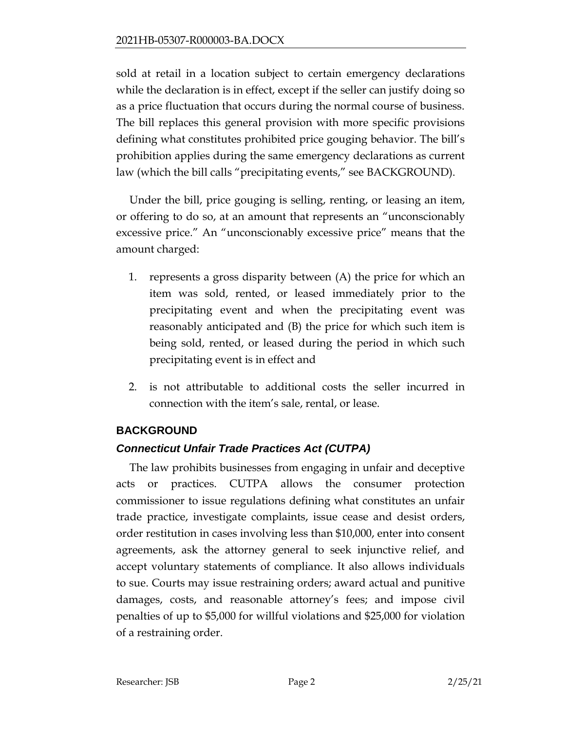sold at retail in a location subject to certain emergency declarations while the declaration is in effect, except if the seller can justify doing so as a price fluctuation that occurs during the normal course of business. The bill replaces this general provision with more specific provisions defining what constitutes prohibited price gouging behavior. The bill's prohibition applies during the same emergency declarations as current law (which the bill calls "precipitating events," see BACKGROUND).

Under the bill, price gouging is selling, renting, or leasing an item, or offering to do so, at an amount that represents an "unconscionably excessive price." An "unconscionably excessive price" means that the amount charged:

- 1. represents a gross disparity between (A) the price for which an item was sold, rented, or leased immediately prior to the precipitating event and when the precipitating event was reasonably anticipated and (B) the price for which such item is being sold, rented, or leased during the period in which such precipitating event is in effect and
- 2. is not attributable to additional costs the seller incurred in connection with the item's sale, rental, or lease.

# **BACKGROUND**

# *Connecticut Unfair Trade Practices Act (CUTPA)*

The law prohibits businesses from engaging in unfair and deceptive acts or practices. CUTPA allows the consumer protection commissioner to issue regulations defining what constitutes an unfair trade practice, investigate complaints, issue cease and desist orders, order restitution in cases involving less than \$10,000, enter into consent agreements, ask the attorney general to seek injunctive relief, and accept voluntary statements of compliance. It also allows individuals to sue. Courts may issue restraining orders; award actual and punitive damages, costs, and reasonable attorney's fees; and impose civil penalties of up to \$5,000 for willful violations and \$25,000 for violation of a restraining order.